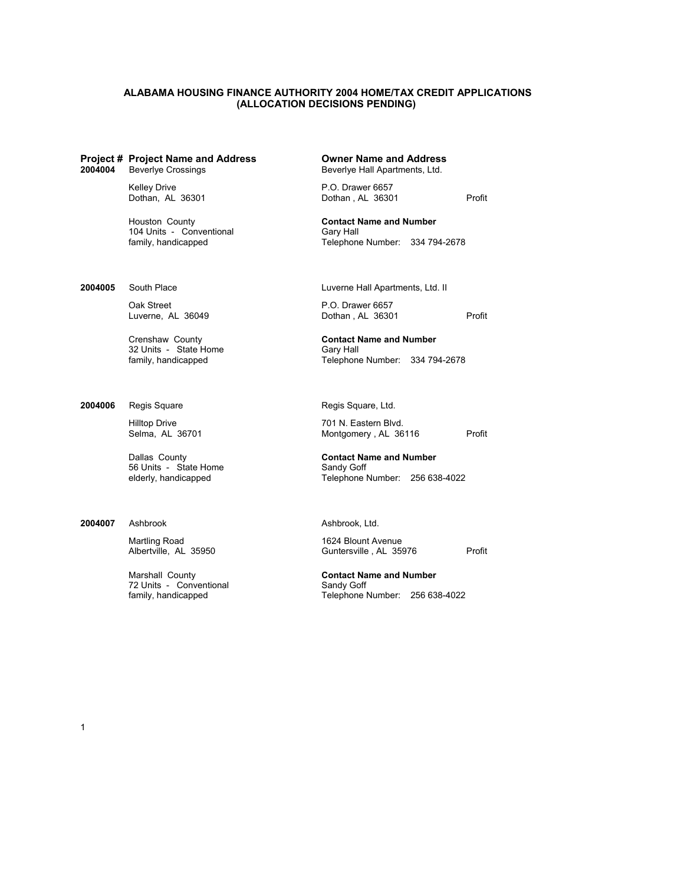## **ALABAMA HOUSING FINANCE AUTHORITY 2004 HOME/TAX CREDIT APPLICATIONS (ALLOCATION DECISIONS PENDING)**

## **Project # Project Name and Address Owner Name and Address**

**2004004** Beverlye Crossings **Beverlye Hall Apartments, Ltd.** Beverlye Hall Apartments, Ltd.

Houston County **Contact Name and Number** 104 Units - Conventional Gary Hall<br>
family, handicapped Gary Telephone

Oak Street P.O. Drawer 6657<br>
Luverne, AL 36049 **Dothan**, AL 36301

32 Units - State Home Gary Hall<br>
family, handicapped Gary Gelephone

**2004006** Regis Square Regis Square, Ltd.

56 Units - State Home Sandy Goff<br>
elderly, handicapped State State State State State State State State State State State State State State State

### **2004007** Ashbrook **Ashbrook**, Ltd.

Martling Road 1624 Blount Avenue<br>Albertville, AL 35950 600 Guntersville, AL 359

72 Units - Conventional Sandy Goff family, handicapped Sandy Goff family, handicapped

Kelley Drive<br>
Dothan, AL 36301 Dothan, AL 36301 Dothan, AL 36301 Profit

Telephone Number: 334 794-2678

**2004005** South Place **Luverne Hall Apartments, Ltd. II** 

Luverne, AL 36049 Dothan , AL 36301 Profit

Crenshaw County **Contact Name and Number**

Telephone Number: 334 794-2678

Hilltop Drive 701 N. Eastern Blvd.<br>
Selma, AL 36701 Montgomery , AL 36 Montgomery , AL 36116 Profit

Dallas County **Contact Name and Number** Telephone Number: 256 638-4022

Guntersville, AL 35976 Profit

Marshall County **Contact Name and Number** Telephone Number: 256 638-4022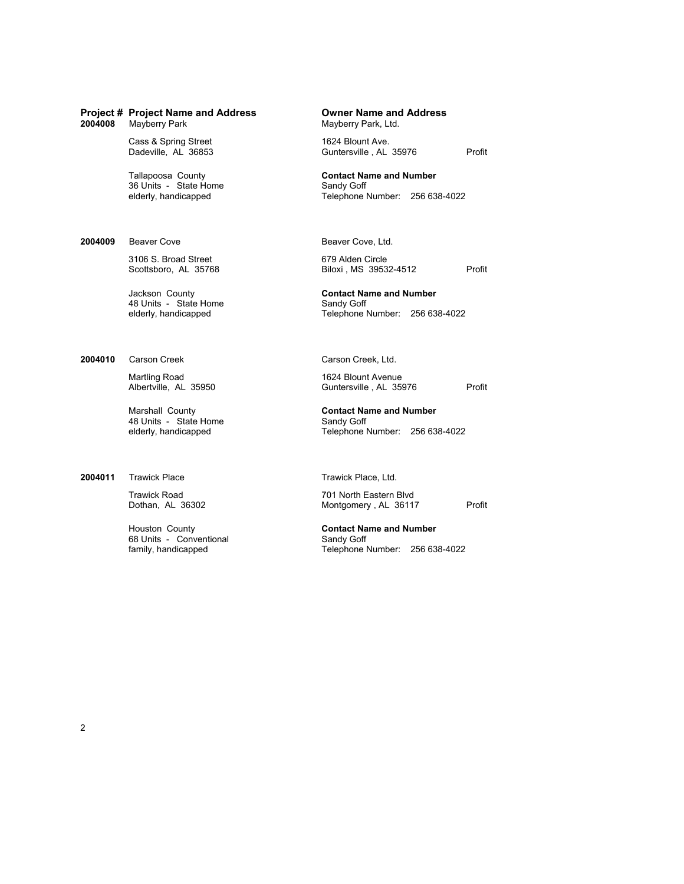| 2004008 | <b>Project # Project Name and Address</b><br>Mayberry Park         | <b>Owner Name and Address</b><br>Mayberry Park, Ltd.                           |
|---------|--------------------------------------------------------------------|--------------------------------------------------------------------------------|
|         | Cass & Spring Street<br>Dadeville, AL 36853                        | 1624 Blount Ave.<br>Profit<br>Guntersville, AL 35976                           |
|         | Tallapoosa County<br>36 Units - State Home<br>elderly, handicapped | <b>Contact Name and Number</b><br>Sandy Goff<br>Telephone Number: 256 638-4022 |
| 2004009 | Beaver Cove                                                        | Beaver Cove, Ltd.                                                              |
|         | 3106 S. Broad Street<br>Scottsboro, AL 35768                       | 679 Alden Circle<br>Biloxi, MS 39532-4512<br>Profit                            |
|         | Jackson County<br>48 Units - State Home<br>elderly, handicapped    | <b>Contact Name and Number</b><br>Sandy Goff<br>Telephone Number: 256 638-4022 |
| 2004010 | Carson Creek                                                       | Carson Creek, Ltd.                                                             |
|         | Martling Road<br>Albertville, AL 35950                             | 1624 Blount Avenue<br>Profit<br>Guntersville, AL 35976                         |
|         |                                                                    |                                                                                |

48 Units - State Home<br>elderly, handicapped

**2004011** Trawick Place Trawick Place, Ltd.

68 Units - Conventional<br>family, handicapped

Trawick Road **701 North Eastern Blvd** Dothan, AL 36302 Montgomery , AL 36117 Profit

Sandy Goff<br>Telephone Number: 256 638-4022

Houston County **Contact Name and Number** Family Goff<br>Telephone Number: 256 638-4022

Marshall County **Contact Name and Number**

2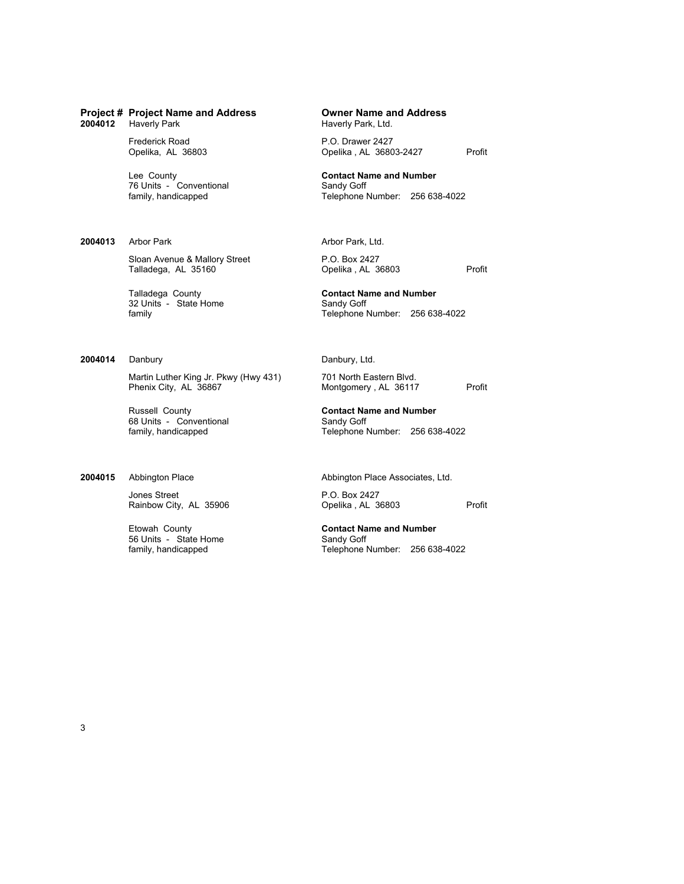2004012 Haverly Park

76 Units - Conventional<br>family, handicapped

**2004013** Arbor Park **Arbor Park**, Ltd.

Sloan Avenue & Mallory Street P.O. Box 2427<br>Talladega, AL 35160 **Propelika**, AL 36803

32 Units - State Home<br>family

## **2004014** Danbury Danbury Danbury, Ltd.

Martin Luther King Jr. Pkwy (Hwy 431) 701 North Eastern Blvd.<br>Phenix City, AL 36867 Montgomery, AL 36117

Russell County **Contact Name and Number** 68 Units - Conventional Sandy Goff family, handicapped Sandy Goff family, handicapped Sandy Goff Telephone I

Jones Street<br>
Rainbow City, AL 35906 Poelika, AL 36803

56 Units - State Home<br>family, handicapped

Frederick Road **P.O. Drawer 2427**<br>
Opelika, AL 36803 **P.O. Prawer 2427** Opelika, AL 36803-2427 Profit

Lee County<br> **Contact Name and Number**<br> **Contact Name and Number**<br>
Sandy Goff

Telephone Number: 256 638-4022

Talladega, AL 35160 **CONFIDENTS** Opelika , AL 36803 Profit

Talladega County<br>
32 Units - State Home<br> **Contact Name and Number**<br>
Sandy Goff Telephone Number: 256 638-4022

Montgomery , AL 36117 Profit

Telephone Number: 256 638-4022

**2004015** Abbington Place **Abbington Place Associates, Ltd.** 

Rainbow City, AL 35906 Qpelika , AL 36803 Profit

Etowah County **Contact Name and Number** Telephone Number: 256 638-4022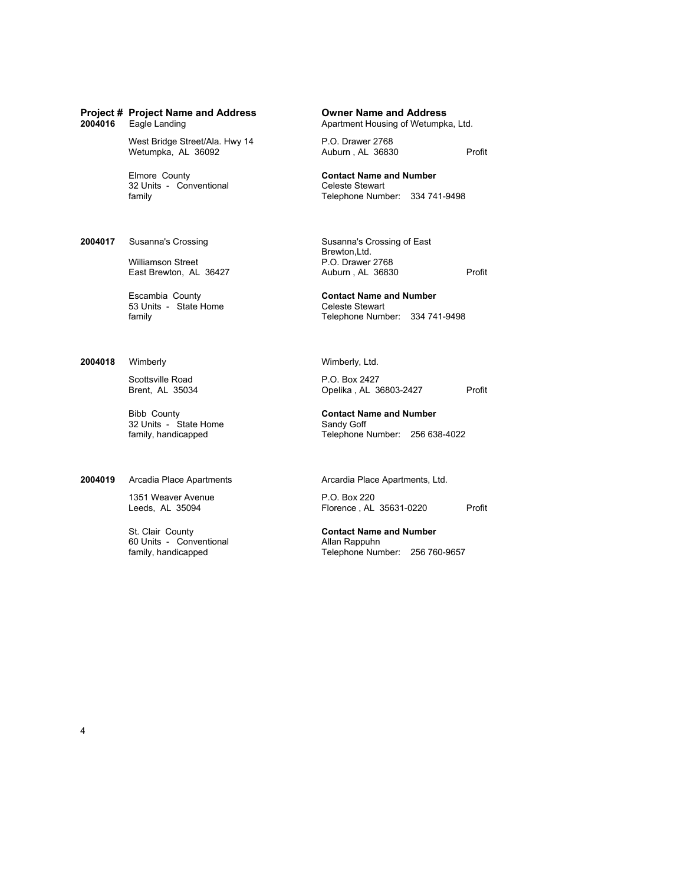West Bridge Street/Ala. Hwy 14 P.O. Drawer 2768<br>Wetumpka, AL 36092 Auburn, AL 36830

32 Units - Conventional<br>family

**2004017** Susanna's Crossing Susanna's Crossing of East

Williamson Street **P.O. Drawer 2768**<br>East Brewton, AL 36427 **P.O. Prawer 2768** 

53 Units - State Home<br>family

**2004018** Wimberly **Wimberly** Wimberly, Ltd.

Scottsville Road P.O. Box 2427<br>Brent, AL 35034 Opelika , AL 31

32 Units - State Home<br>family, handicapped

2004019 Arcadia Place Apartments **Arcardia Place Apartments**, Ltd.

1351 Weaver Avenue **P.O. Box 220**<br>
Leeds, AL 35094 **P.O. Box 220** 

60 Units - Conventional **Allan Rappuhn family, handicapped** Allan Rappuhn Telephone Nun

**Project # Project Name and Address Owner Name and Address** Apartment Housing of Wetumpka, Ltd.

Wetumpka, AL 36092 <br>
Metumpka, AL 36092 <br>
Metumpka, AL 36092 <br>
Metumpka, AL 36092 <br>
Metumpka, AL 36092 <br>
Metumpka, AL 36092 <br>
Metumpka, AL 36092 <br>
Metumpka, AL 36092 <br>
Metumpka, AL 36092 <br>
Metumpka, AL 36092 <br>
Metumpka, AL

Elmore County **Contact Name and Number** Telephone Number: 334 741-9498

Brewton,Ltd. East Brewton, AL 36427 Auburn , AL 36830 Profit

Escambia County **Contact Name and Number** Telephone Number: 334 741-9498

Opelika , AL 36803-2427 Profit

Bibb County **Contact Name and Number** Telephone Number: 256 638-4022

Leeds, AL 35094 Florence , AL 35631-0220 Profit

St. Clair County **Contact Name and Number** Telephone Number: 256 760-9657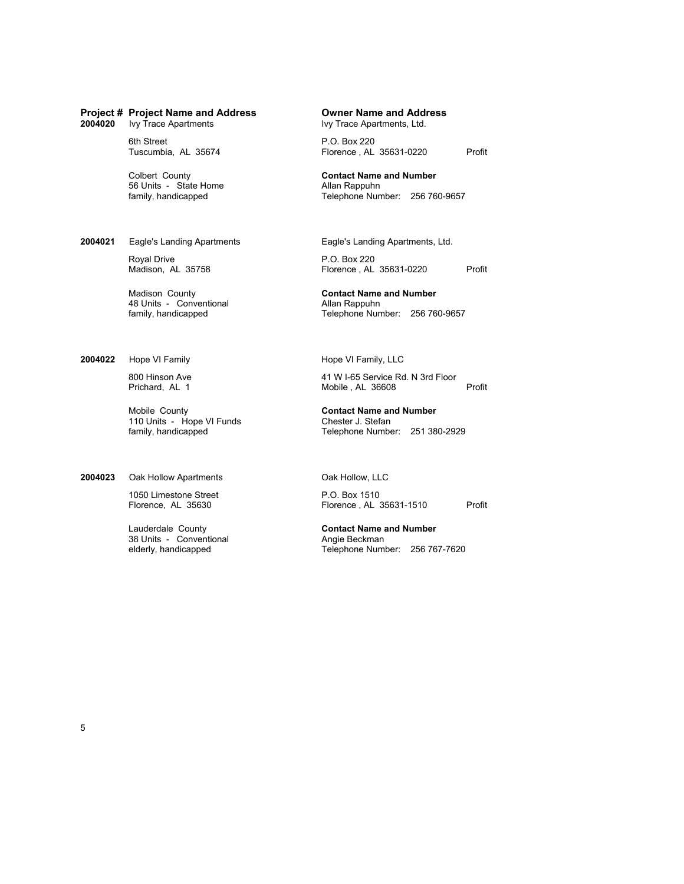## **Project # Project Name and Address Owner Name and Address** 2004020 Ivy Trace Apartments

6th Street P.O. Box 220<br>Tuscumbia, AL 35674 Florence , AL

56 Units - State Home<br>family, handicapped

**2004021** Eagle's Landing Apartments Eagle's Landing Apartments, Ltd.

Royal Drive **P.O. Box 220**<br>Madison, AL 35758 **P.O. Box 220** 

48 Units - Conventional<br>family, handicapped

**2004022** Hope VI Family **Hope VI Family, LLC** 

110 Units - Hope VI Funds<br>
family, handicapped<br>
Telephone Numbe

**2004023** Oak Hollow Apartments **Oak Hollow, LLC** 

1050 Limestone Street P.O. Box 1510<br>Florence, AL 35630 Florence , AL 3

Lauderdale County **Contact Name and Number** 38 Units - Conventional<br>elderly, handicapped

Florence, AL 35631-0220 Profit

Colbert County **Contact Name and Number** Telephone Number: 256 760-9657

Florence , AL 35631-0220 Profit

Madison County<br> **Allan Rappuhn 48 Units - Conventional**<br> **Allan Rappuhn** Telephone Number: 256 760-9657

800 Hinson Ave 41 W I-65 Service Rd. N 3rd Floor Mobile , AL 36608 Profit

Mobile County **Contact Name and Number** Telephone Number: 251 380-2929

Florence, AL 35630 Florence , AL 35631-1510 Profit

Telephone Number: 256 767-7620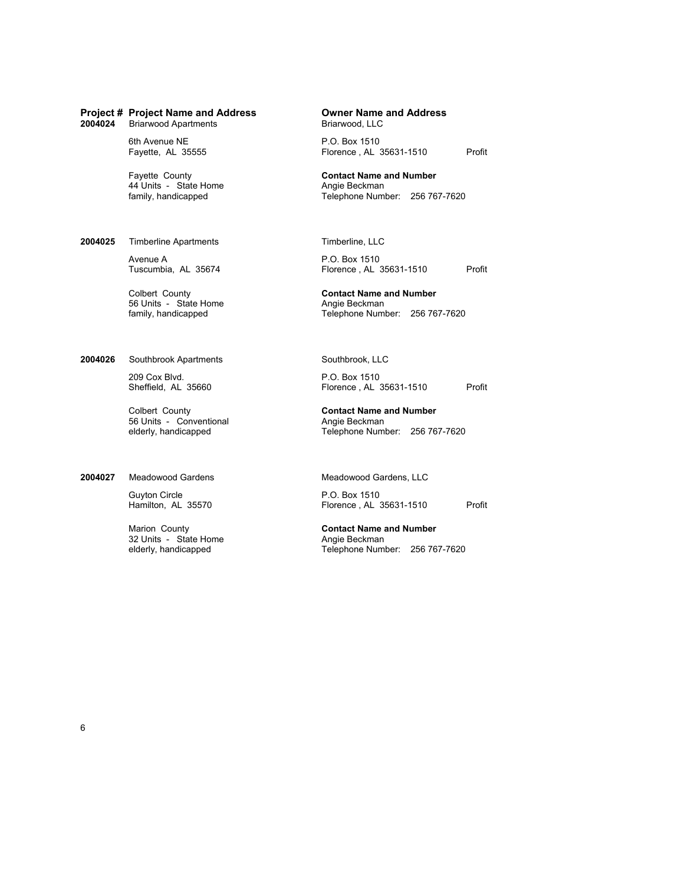| 2004024 | <b>Project # Project Name and Address</b><br><b>Briarwood Apartments</b> | <b>Owner Name and Address</b><br>Briarwood, LLC                                |
|---------|--------------------------------------------------------------------------|--------------------------------------------------------------------------------|
|         | 6th Avenue NE<br>Fayette, AL 35555                                       | P.O. Box 1510<br>Florence, AL 35631-1510                                       |
|         | Fayette County<br>44 Units - State Home<br>family, handicapped           | <b>Contact Name and Number</b><br>Angie Beckman<br>Telephone Number: 256 767-7 |
| 2004025 | <b>Timberline Apartments</b>                                             | Timberline, LLC                                                                |
|         | Avenue A<br>Tuscumbia, AL 35674                                          | P.O. Box 1510<br>Florence, AL 35631-1510                                       |
|         | Colbert County<br>56 Units - State Home<br>family, handicapped           | <b>Contact Name and Number</b><br>Angie Beckman<br>Telephone Number: 256 767-7 |
| 2004026 | Southbrook Apartments                                                    | Southbrook, LLC                                                                |
|         | 209 Cox Blvd.<br>Sheffield, AL 35660                                     | P.O. Box 1510<br>Florence, AL 35631-1510                                       |
|         |                                                                          |                                                                                |

Colbert County **Contact Name and Number** 56 Units - Conventional **Angie Beckman**<br>
elderly, handicapped **Angie Beckman**<br>
Telephone Numl

### **2004027** Meadowood Gardens Meadowood Gardens, LLC

Guyton Circle Guyton Circle P.O. Box 1510<br>Hamilton, AL 35570 Florence, AL

32 Units - State Home<br>elderly, handicapped

P.O. Box 1510 Florence, AL 35631-1510 Profit

**Contact Name and Number** Angie Beckman Telephone Number: 256 767-7620

P.O. Box 1510 Florence , AL 35631-1510 Profit

**Contact Name and Number** Angie Beckman Telephone Number: 256 767-7620

P.O. Box 1510 Florence , AL 35631-1510 Profit

Telephone Number: 256 767-7620

Florence, AL 35631-1510 Profit

Marion County<br>
32 Units - State Home<br> **Contact Name and Number**<br>
Angie Beckman Telephone Number: 256 767-7620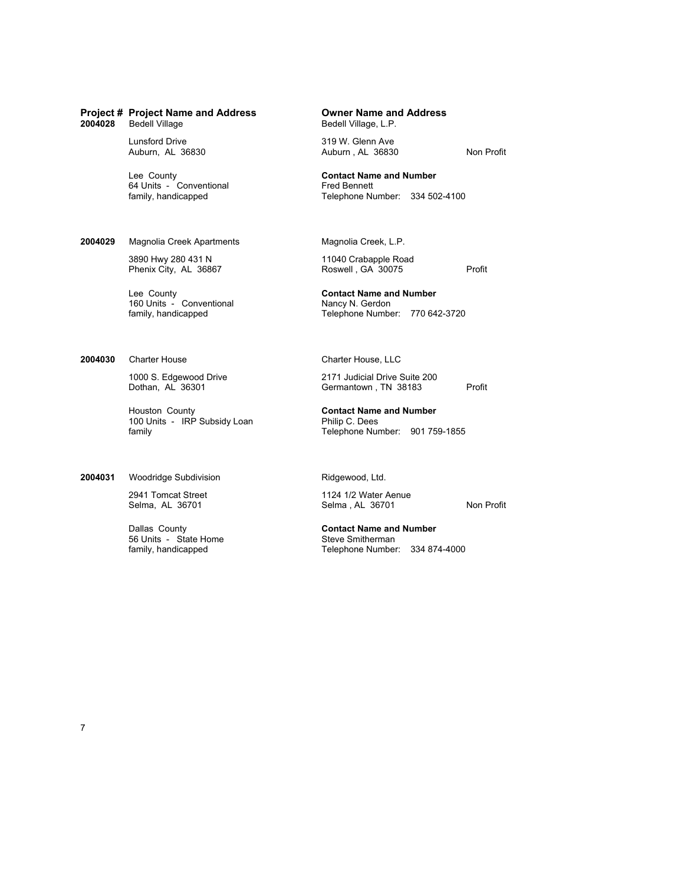64 Units - Conventional<br>family, handicapped

**2004029** Magnolia Creek Apartments Magnolia Creek, L.P.

3890 Hwy 280 431 N 11040 Crabapple Road

160 Units - Conventional

**2004030** Charter House Charter House, LLC

Houston County **Contact Name and Number** 100 Units - IRP Subsidy Loan Philip C. Dees<br>
family Felephone Nur

2004031 Woodridge Subdivision Ridgewood, Ltd.

56 Units - State Home<br>family, handicapped

Bedell Village, L.P.

Lunsford Drive 319 W. Glenn Ave 319 W. Glenn Ave 36830 Auburn, AL 36830 Non Profit

Lee County<br> **Contact Name and Number**<br> **Contact Name and Number**<br> **Contact Name and Number**<br> **Contact Name and Number** Telephone Number: 334 502-4100

Phenix City, AL 36867 Roswell , GA 30075 Profit

Lee County<br>
160 Units - Conventional<br>
160 Units - Conventional<br>
160 Units - Conventional family, handicapped Telephone Number: 770 642-3720

1000 S. Edgewood Drive 2171 Judicial Drive Suite 200<br>
Dothan, AL 36301 Corner Communication Communication 38183 Germantown , TN 38183 Profit

Telephone Number: 901 759-1855

2941 Tomcat Street 1124 1/2 Water Aenue<br>
2941 Tomcat Street 1124 1/2 Water Aenue Selma, AL 36701 Non Profit

Dallas County **Contact Name and Number** Telephone Number: 334 874-4000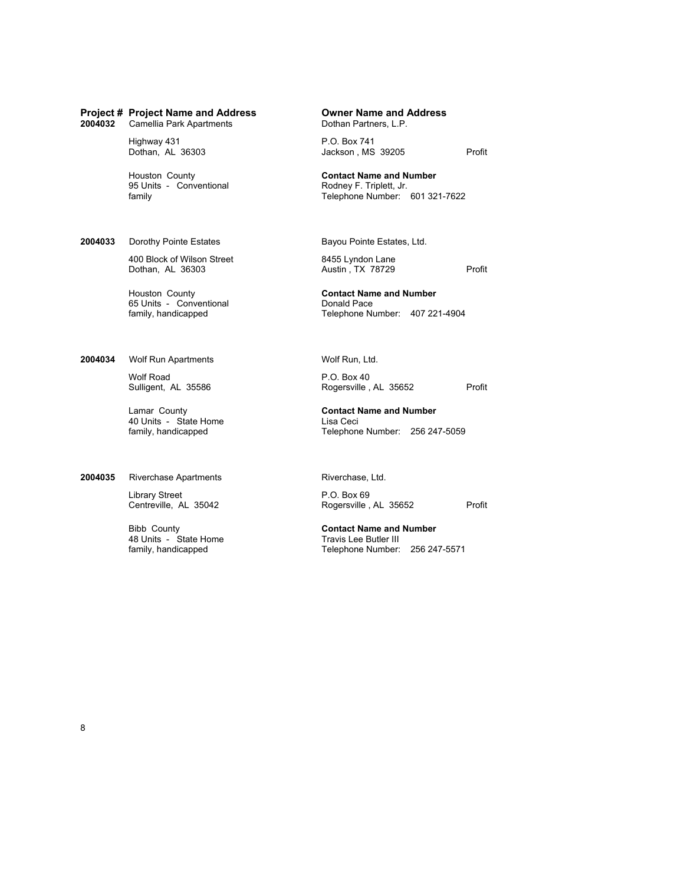## **Project # Project Name and Address Owner Name and Address** 2004032 Camellia Park Apartments

Highway 431 **P.O. Box 741**<br>Dothan, AL 36303 Jackson , MS

95 Units - Conventional<br>family

**2004033** Dorothy Pointe Estates Bayou Pointe Estates, Ltd.

400 Block of Wilson Street 8455 Lyndon Lane<br>
Dothan, AL 36303 <br>
Austin, TX 78729

65 Units - Conventional<br>family, handicapped

2004034 Wolf Run Apartments Wolf Run, Ltd.

Wolf Road <br>
Sulligent, AL 35586 <br>
Rogersville,

40 Units - State Home Lisa Ceci<br>
family, handicapped Camera Cheephone

## 2004035 Riverchase Apartments Riverchase, Ltd.

Library Street P.O. Box 69<br>Centreville, AL 35042 Rogersville,

48 Units - State Home<br>family, handicapped

Jackson, MS 39205 Profit

Houston County **Contact Name and Number** Telephone Number: 601 321-7622

Dothan, AL 36303 **Austin**, TX 78729 **Profit** 

Houston County **Contact Name and Number** Telephone Number: 407 221-4904

Rogersville, AL 35652 Profit

Lamar County **Contact Name and Number** Telephone Number: 256 247-5059

Rogersville, AL 35652 Profit

Bibb County **Contact Name and Number** Telephone Number: 256 247-5571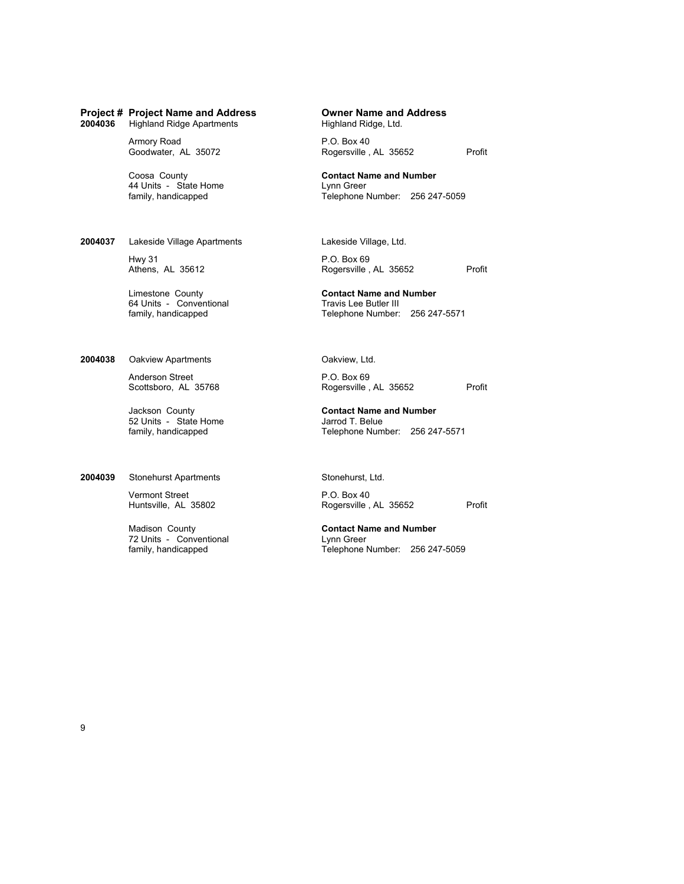## **Project # Project Name and Address Owner Name and Address** 2004036 Highland Ridge Apartments

Armory Road <br>
Goodwater, AL 35072 Rogersville,

44 Units - State Home Lynn Greer<br>
family, handicapped Camera Cheephone Nelephone N

2004037 Lakeside Village Apartments Lakeside Village, Ltd.

Hwy 31 P.O. Box 69<br>Athens, AL 35612 Rogersville,

64 Units - Conventional<br>family, handicapped

2004038 Oakview Apartments **Oakview, Ltd.** 

Anderson Street **P.O. Box 69**<br>Scottsboro, AL 35768 **P.O. Box 69**<br>Rogersville,

52 Units - State Home Jarrod T. Belue<br>
family, handicapped Games Telephone Num

2004039 Stonehurst Apartments Stonehurst, Ltd.

Vermont Street P.O. Box 40

72 Units - Conventional<br>family, handicapped

Rogersville , AL 35652 Profit

Coosa County **Contact Name and Number** Telephone Number: 256 247-5059

Rogersville , AL 35652 Profit

Limestone County **Contact Name and Number** Telephone Number: 256 247-5571

Rogersville , AL 35652 Profit

Jackson County **Contact Name and Number** Telephone Number: 256 247-5571

Rogersville, AL 35652 Profit

Madison County<br> **Contact Name and Number**<br> **Contact Name and Number**<br>
Lynn Greer Telephone Number: 256 247-5059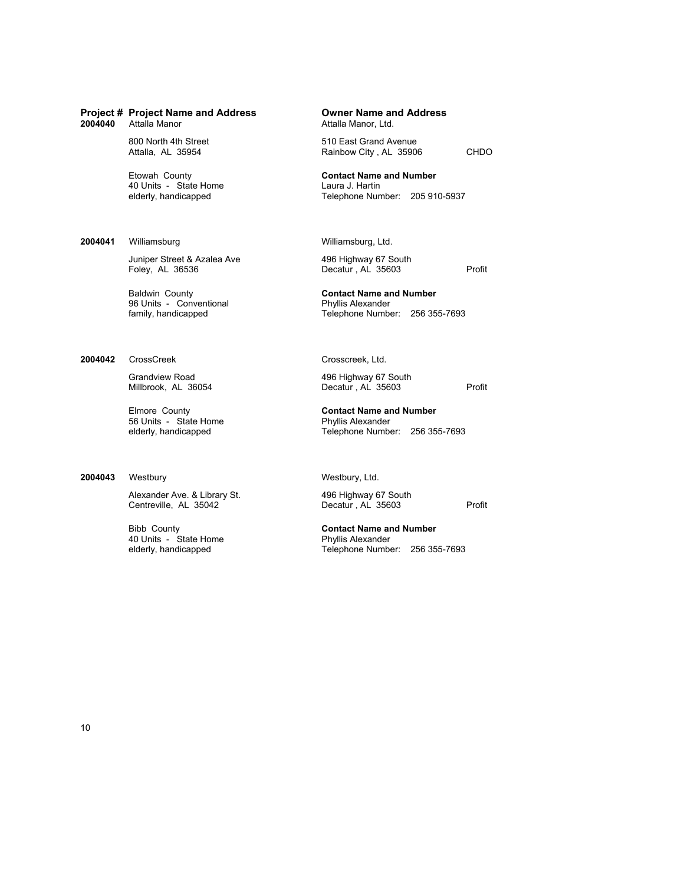40 Units - State Home<br>elderly, handicapped

### **2004041** Williamsburg Williamsburg, Ltd.

Juniper Street & Azalea Ave 496 Highway 67 South Foley, AL 366336

96 Units - Conventional<br>family, handicapped

2004042 CrossCreek **Crosscreek**, Ltd.

56 Units - State Home Phyllis Alexander<br>
elderly, handicapped Phyllis Alexander<br>
Phyllis Alexander

## 2004043 Westbury Westbury, Ltd.

Alexander Ave. & Library St. 496 Highway 67 South Centreville, AL 35603

40 Units - State Home<br>elderly, handicapped

Attalla Manor, Ltd.

800 North 4th Street 610 East Grand Avenue<br>Attalla, AL 35954 Rainbow City, AL 3590 Rainbow City, AL 35906 CHDO

Etowah County **Contact Name and Number**

Telephone Number: 205 910-5937

Decatur , AL 35603 Profit

Baldwin County **Contact Name and Number** Telephone Number: 256 355-7693

Grandview Road 496 Highway 67 South Millbrook, AL 36054 496 Highway 67 South Millbrook, AL 36054 Decatur , AL 35603 Profit

Elmore County **Contact Name and Number** Telephone Number: 256 355-7693

Centreville, AL 35042 Decatur , AL 35603 Profit

Bibb County **Contact Name and Number** Telephone Number: 256 355-7693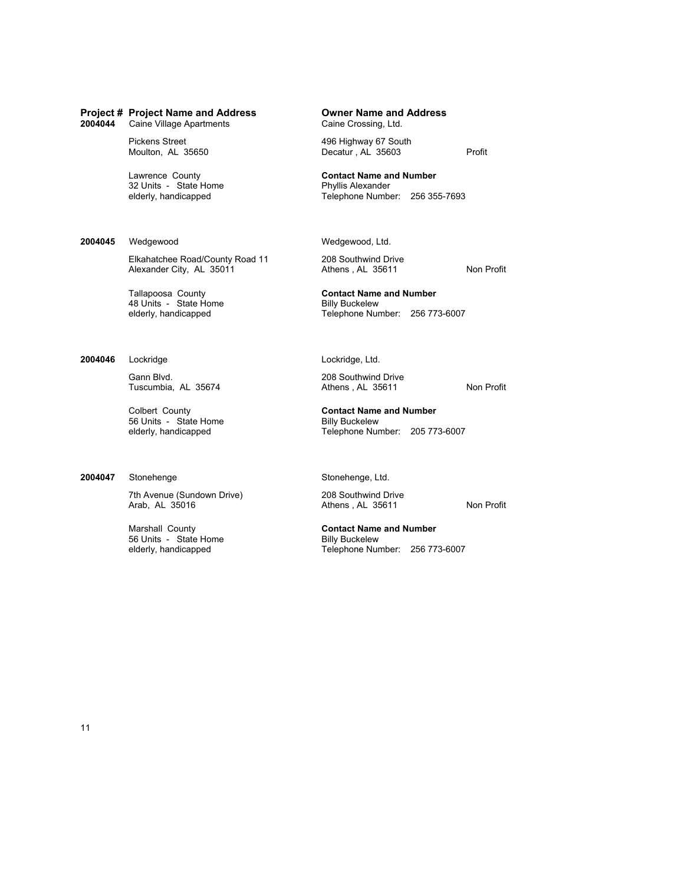**2006** Caine Village Apartments

32 Units - State Home<br>elderly, handicapped

### 2004045 Wedgewood Wedgewood, Ltd.

Elkahatchee Road/County Road 11 208 Southwind Drive<br>Alexander City, AL 35011 4thens, AL 35611 Alexander City, AL 35011 **Athens**, AL 35611 **Non Profit** 

48 Units - State Home<br>elderly, handicapped

**2004046** Lockridge Lockridge, Ltd.

Gann Blvd. 208 Southwind Drive<br>Tuscumbia, AL 35674 208 Southwind Drive Tuscumbia, AL 35674 Athens , AL 35611 Non Profit

56 Units - State Home Billy Buckelew<br>
elderly, handicapped Billy Buckelew<br>
Telephone Nur

### **2004047** Stonehenge Stonehenge, Ltd.

7th Avenue (Sundown Drive) 208 Southwind Drive

56 Units - State Home<br>elderly, handicapped

**Project # Project Name and Address Owner Name and Address**

Pickens Street 496 Highway 67 South Moulton, AL 35650 Decatur , AL 35603 Profit

Lawrence County<br>
32 Units - State Home<br> **Contact Name and Number**<br> **Contact Name and Number**<br> **Contact Name and Number** Telephone Number: 256 355-7693

Tallapoosa County<br> **Contact Name and Number**<br> **A** Units - State Home<br> **Contact Name and Number**<br> **Billy Buckelew** Telephone Number: 256 773-6007

Colbert County **Contact Name and Number** Telephone Number: 205 773-6007

Athens , AL 35611 Non Profit

Marshall County<br> **Contact Name and Number**<br> **Contact Name and Number**<br> **Contact Name and Number**<br> **Contact Name and Number** Telephone Number: 256 773-6007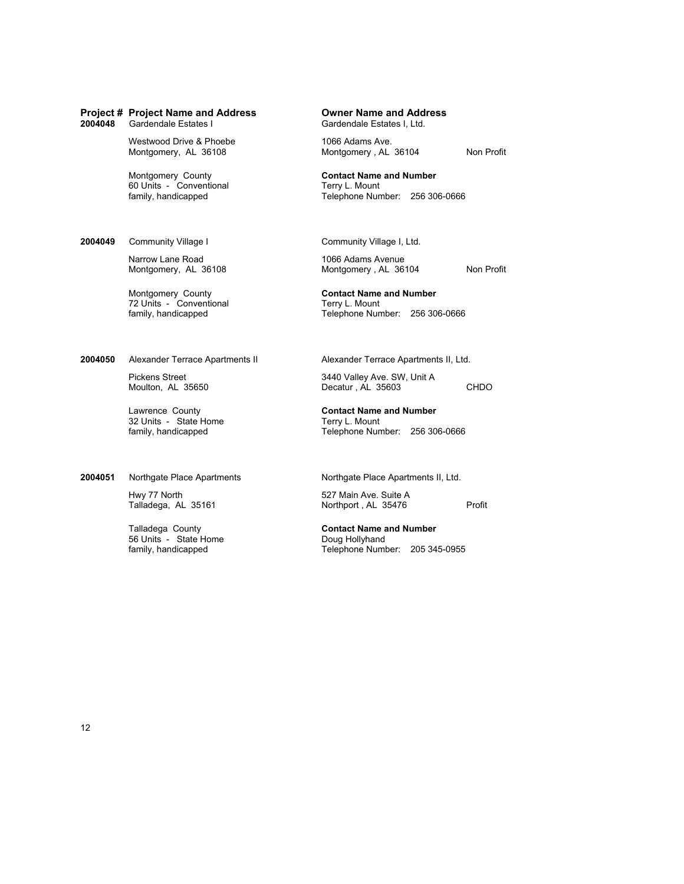Westwood Drive & Phoebe 1066 Adams Ave.<br>
Montgomery, AL 36108 Montgomery, AL

60 Units - Conventional<br>family, handicapped

**2004049** Community Village I Community Village I, Ltd.

Narrow Lane Road 1066 Adams Avenue<br>Montgomery, AL 36108 1066 Montgomery, AL 36

72 Units - Conventional<br>family, handicapped

**2004050** Alexander Terrace Apartments II Alexander Terrace Apartments II, Ltd.

32 Units - State Home Terry L. Mount<br>
family, handicapped Telephone Nun

Hwy 77 North 627 Main Ave. Suite A<br>Talladega, AL 35161 1997 1997 1998 Northport, AL 35476

56 Units - State Home<br>family, handicapped

Gardendale Estates I, Ltd.

Montgomery, AL 36104 Non Profit

Montgomery County<br>
60 Units - Conventional<br>
Ferry L. Mount Telephone Number: 256 306-0666

Montgomery, AL 36104 Non Profit

Montgomery County<br>
Terry L. Mount<br>
Terry L. Mount<br>
Terry L. Mount Telephone Number: 256 306-0666

Pickens Street 3440 Valley Ave. SW, Unit A<br>Moulton, AL 35650 **3440 Valley Ave. SW, Unit A** Decatur , AL 35603 CHDO

Lawrence County **Contact Name and Number** Telephone Number: 256 306-0666

**2004051** Northgate Place Apartments **Northgate Place Apartments II, Ltd.** 

Talladega, AL 35161 Northport, AL 35476 Profit

Talladega County<br> **Contact Name and Number**<br> **Contact Name and Number**<br>
Doug Hollyhand Telephone Number: 205 345-0955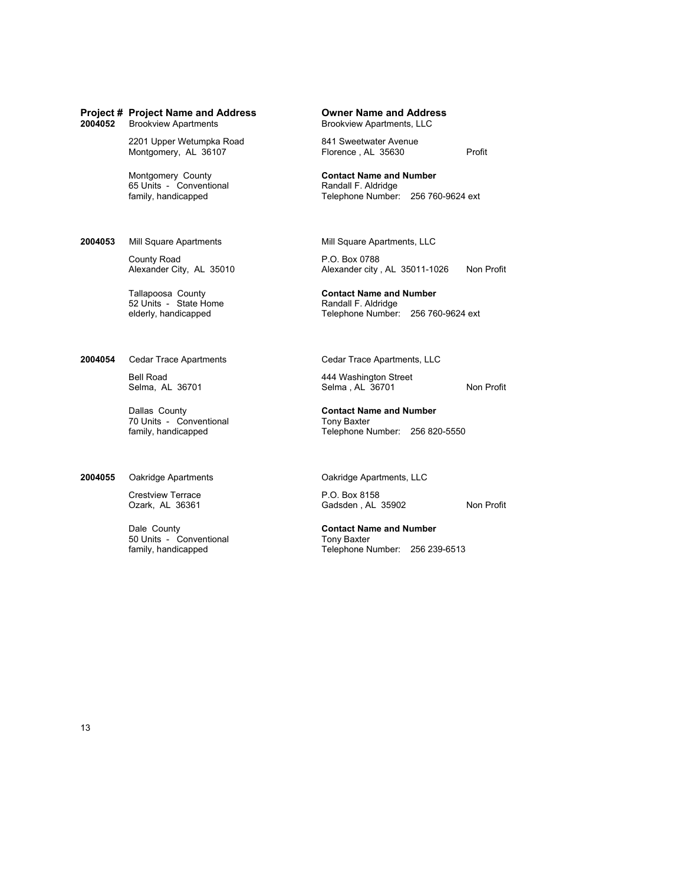# **Project # Project Name and Address 6 Company of Dividends 2004052 Brookview Apartments, LLC Brookview Apartments, LLC**

2201 Upper Wetumpka Road 841 Sweetwater Avenue<br>Montgomery, AL 36107 Florence, AL 35630

65 Units - Conventional<br>family, handicapped

**2004053** Mill Square Apartments Mill Square Apartments, LLC

County Road P.O. Box 0788<br>Alexander City, AL 35010 Alexander city

52 Units - State Home<br>elderly, handicapped

**2004054** Cedar Trace Apartments Cedar Trace Apartments, LLC

70 Units - Conventional Tony Baxter<br>
family, handicapped Telephone N

## **2004055** Oakridge Apartments **Canadian Care Apartments**, LLC

Crestview Terrace P.O. Box 8158

50 Units - Conventional<br>family, handicapped

**Brookview Apartments, LLC** 

Montgomery, AL 36107 Florence , AL 35630 Profit

Montgomery County<br>
65 Units - Conventional<br> **Contact Name and Number**<br>
Randall F. Aldridge Telephone Number: 256 760-9624 ext

Alexander city, AL 35011-1026 Non Profit

Tallapoosa County<br>
52 Units - State Home<br> **Contact Name and Number**<br>
Randall F. Aldridge Telephone Number: 256 760-9624 ext

Bell Road 444 Washington Street<br>
Selma, AL 36701 Selma, AL 36701 Selma, AL 36701 Non Profit

Dallas County **Contact Name and Number** Telephone Number: 256 820-5550

Gadsden , AL 35902 Non Profit

Dale County<br> **Contact Name and Number**<br>
Tony Baxter<br>
Tony Baxter Telephone Number: 256 239-6513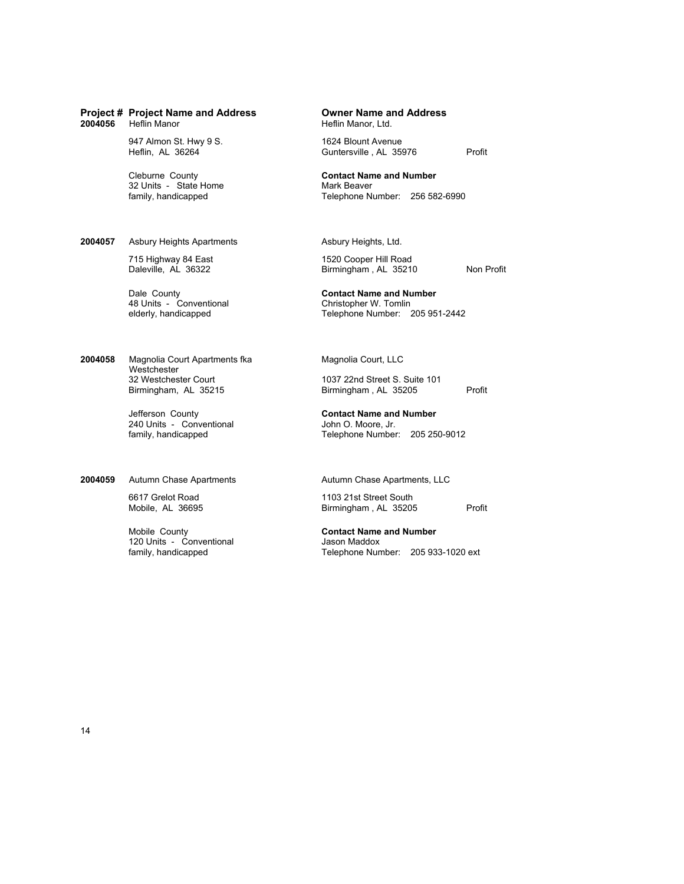| 2004056 | <b>Project # Project Name and Address</b><br>Heflin Manor                                                                                                           | <b>Owner Name and Address</b><br>Heflin Manor, Ltd.                                                                                                                              |
|---------|---------------------------------------------------------------------------------------------------------------------------------------------------------------------|----------------------------------------------------------------------------------------------------------------------------------------------------------------------------------|
|         | 947 Almon St. Hwy 9 S.<br>Heflin, AL 36264                                                                                                                          | 1624 Blount Avenue<br>Profit<br>Guntersville, AL 35976                                                                                                                           |
|         | Cleburne County<br>32 Units - State Home<br>family, handicapped                                                                                                     | <b>Contact Name and Number</b><br>Mark Beaver<br>Telephone Number: 256 582-6990                                                                                                  |
| 2004057 | <b>Asbury Heights Apartments</b><br>715 Highway 84 East<br>Daleville. AL 36322                                                                                      | Asbury Heights, Ltd.<br>1520 Cooper Hill Road<br>Birmingham, AL 35210<br>Non Profit                                                                                              |
|         | Dale County<br>48 Units - Conventional<br>elderly, handicapped                                                                                                      | <b>Contact Name and Number</b><br>Christopher W. Tomlin<br>Telephone Number: 205 951-2442                                                                                        |
| 2004058 | Magnolia Court Apartments fka<br>Westchester<br>32 Westchester Court<br>Birmingham, AL 35215<br>Jefferson County<br>240 Units - Conventional<br>family, handicapped | Magnolia Court, LLC<br>1037 22nd Street S. Suite 101<br>Birmingham, AL 35205<br>Profit<br><b>Contact Name and Number</b><br>John O. Moore, Jr.<br>Telephone Number: 205 250-9012 |
| 2004059 | <b>Autumn Chase Apartments</b>                                                                                                                                      | Autumn Chase Apartments, LLC                                                                                                                                                     |

Mobile County<br>120 Units - Conventional<br>family, handicapped

6617 Grelot Road 1103 21st Street South Mobile, AL 36695 Birmingham , AL 35205 Profit

> **Contact Name and Number**<br>Jason Maddox Telephone Number: 205 933-1020 ext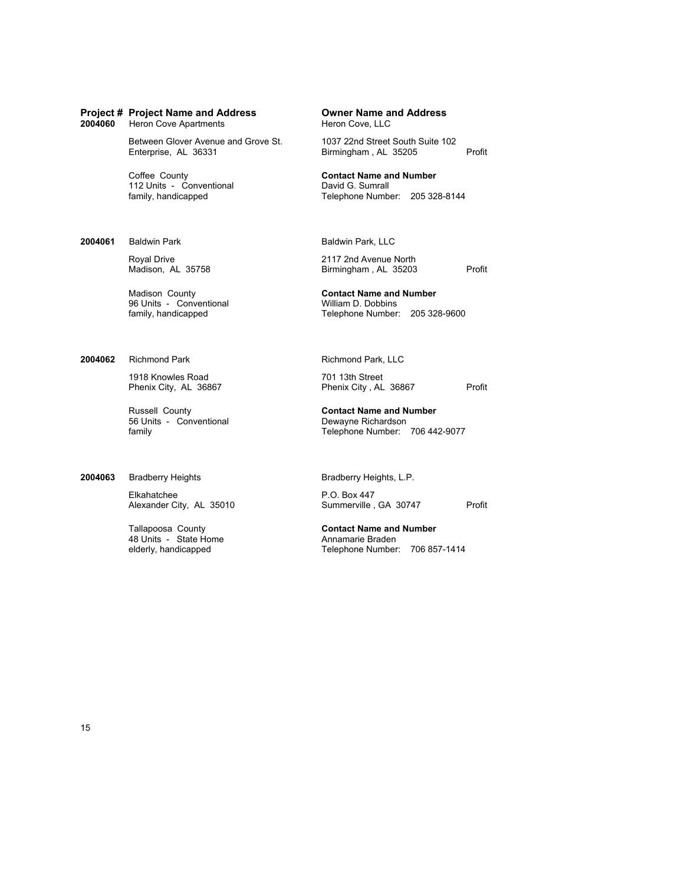**Heron Cove Apartments** 

Between Glover Avenue and Grove St. 1037 22nd Street South Suite 102<br>Enterprise, AL 36331 Birmingham, AL 35205

112 Units - Conventional<br>family, handicapped

**2004061** Baldwin Park **Baldwin Park**, LLC

96 Units - Conventional<br>family, handicapped

**2004062** Richmond Park **Richmond Park**, LLC

1918 Knowles Road 701 13th Street<br>
Phenix City, AL 36867 701 Phenix City, AL

56 Units - Conventional **Dewayne Richardson**<br> **Solution** Dewayne Richardson<br>
Telephone Number:

## 2004063 Bradberry Heights **Bradberry Heights**, L.P.

Elkahatchee **P.O. Box 447**<br>Alexander City, AL 35010 **P.O. Box 447**<br>Summerville , GA 30747

48 Units - State Home<br>elderly, handicapped

**Project # Project Name and Address Owner Name and Address**

Birmingham , AL 35205 Profit

Coffee County<br>
112 Units - Conventional<br>
David G. Sumrall Telephone Number: 205 328-8144

Royal Drive 2117 2nd Avenue North Madison, AL 35758 2117 2nd Avenue North Madison, AL 35203 Birmingham, AL 35203 Profit

Madison County<br> **Contact Name and Number**<br> **Contact Name and Number**<br> **Contact Name and Number**<br> **Contact Name and Number** Telephone Number: 205 328-9600

Phenix City, AL 36867 Profit

Russell County **Contact Name and Number** Telephone Number: 706 442-9077

Alexander City, AL 35010 Summerville, GA 30747 Profit

Tallapoosa County<br> **Contact Name and Number**<br> **Annamarie Braden**<br> **Annamarie Braden** Telephone Number: 706 857-1414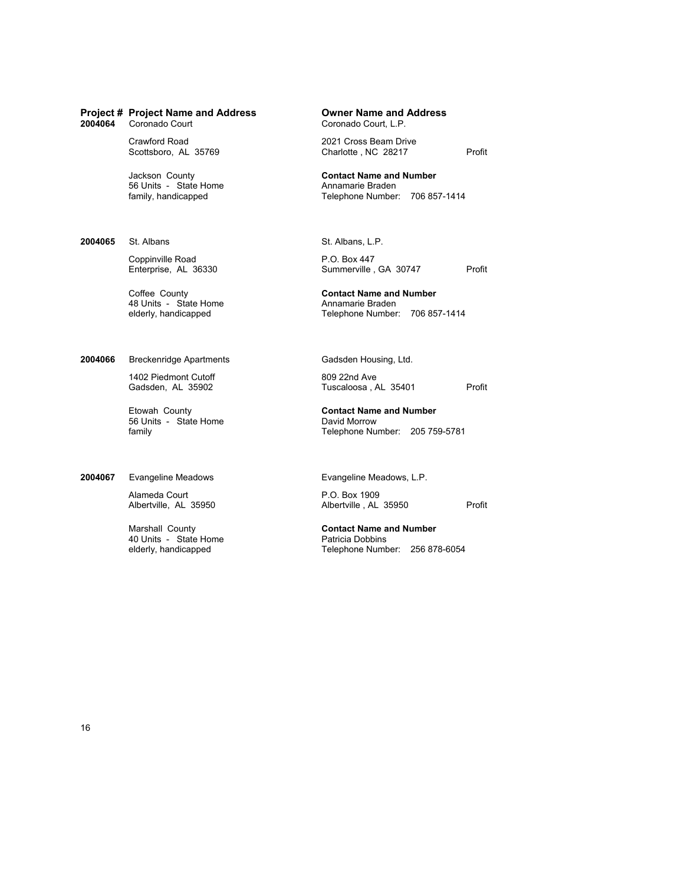Scottsboro, AL 35769 Charlotte , NC 28217 Profit

56 Units - State Home<br>family, handicapped

**2004065** St. Albans St. Albans, L.P.

Coppinville Road P.O. Box 447<br>Enterprise, AL 36330 Summerville,

48 Units - State Home<br>elderly, handicapped

**2004066** Breckenridge Apartments Gadsden Housing, Ltd.

1402 Piedmont Cutoff 809 22nd Ave Gadsden, AL 35902 809 22nd Ave

56 Units - State Home David Morrow Charles and David Morrow Charles Burge Australian David Morrow Telephone Nu<br>Telephone Nu

2004067 Evangeline Meadows **Evangeline Meadows**, L.P.

Alameda Court **P.O. Box 1909**<br>Albertville, AL 35950 **P.O. Albertville, AL** 

40 Units - State Home<br>elderly, handicapped

**Project # Project Name and Address Owner Name and Address** Coronado Court, L.P.

Crawford Road 2021 Cross Beam Drive

Jackson County **Contact Name and Number** Telephone Number: 706 857-1414

Summerville, GA 30747 Profit

**Coffee County <b>Contact Name and Number**<br>48 Units - State Home **Contact Name Annamarie Braden** Telephone Number: 706 857-1414

Tuscaloosa , AL 35401 Profit

Etowah County **Contact Name and Number** Telephone Number: 205 759-5781

Albertville, AL 35950 Profit

Marshall County **Contact Name and Number** Telephone Number: 256 878-6054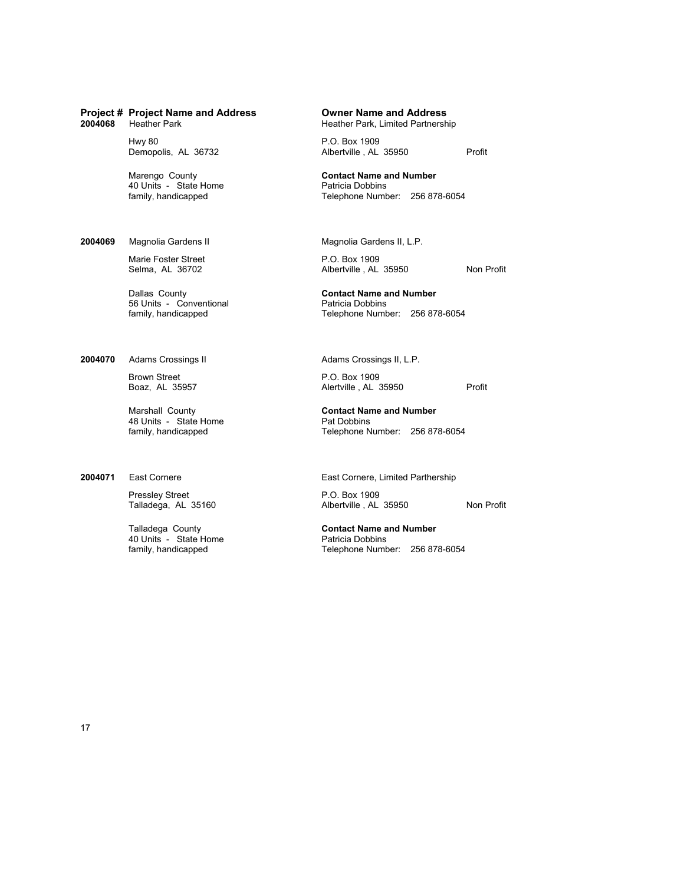| 2004068 | Project # Project Name and Address<br><b>Heather Park</b>       | Owner Name and Address<br>Heather Park, Limited Partnership                          |
|---------|-----------------------------------------------------------------|--------------------------------------------------------------------------------------|
|         | <b>Hwy 80</b><br>Demopolis, AL 36732                            | P.O. Box 1909<br>Profit<br>Albertville, AL 35950                                     |
|         | Marengo County<br>40 Units - State Home<br>family, handicapped  | <b>Contact Name and Number</b><br>Patricia Dobbins<br>Telephone Number: 256 878-6054 |
| 2004069 | Magnolia Gardens II                                             | Magnolia Gardens II, L.P.                                                            |
|         | Marie Foster Street<br>Selma, AL 36702                          | P.O. Box 1909<br>Non F<br>Albertville, AL 35950                                      |
|         | Dallas County<br>56 Units - Conventional<br>family, handicapped | <b>Contact Name and Number</b><br>Patricia Dobbins<br>Telephone Number: 256 878-6054 |
| 2004070 | Adams Crossings II                                              | Adams Crossings II, L.P.                                                             |
|         | <b>Brown Street</b><br>Boaz, AL 35957                           | P.O. Box 1909<br>Profit<br>Alertville, AL 35950                                      |

Marshall County **Contact Name and Number** 48 Units - State Home Pat Dobbins<br>
family, handicapped Pat Dobbins<br>
Telephone No

Pressley Street **P.O. Box 1909** 

Talladega County<br>40 Units - State Home<br>family, handicapped

**Project # Project Name and Address Owner Name and Address**

Non Profit

Telephone Number: 256 878-6054

2004071 East Cornere **East Cornere** East Cornere, Limited Parthership

Talladega, AL 35160 Albertville , AL 35950 Non Profit

**Contact Name and Number**<br>Patricia Dobbins Telephone Number: 256 878-6054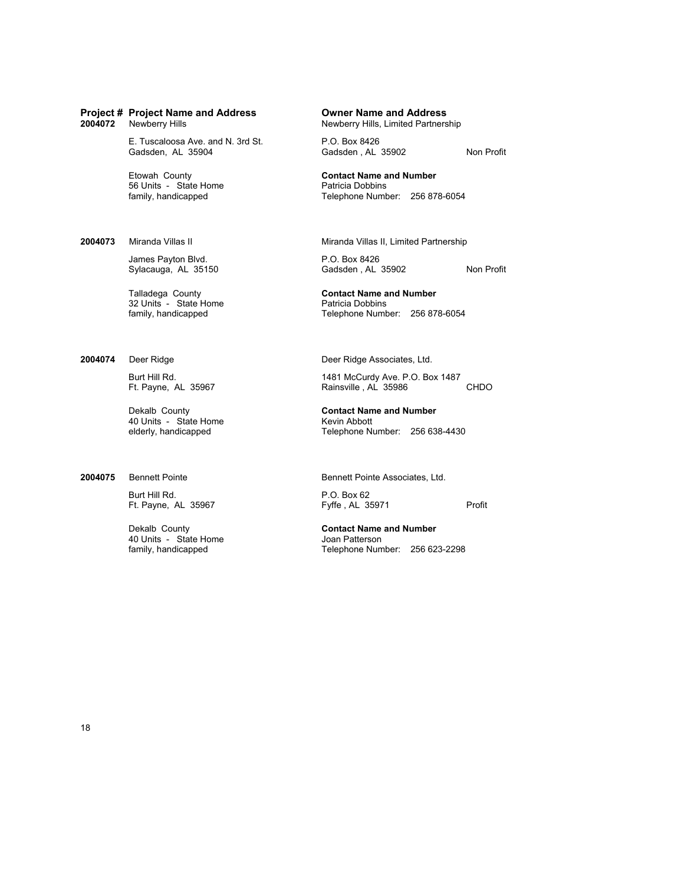E. Tuscaloosa Ave. and N. 3rd St. P.O. Box 8426<br>Gadsden, AL 35904 Gadsden , AL

56 Units - State Home<br>family, handicapped

James Payton Blvd. P.O. Box 8426

32 Units - State Home<br>family, handicapped

40 Units - State Home<br>
elderly, handicapped<br>
Number of Telephone Number

Burt Hill Rd. (2008)<br>
Ft. Payne, AL 35967 (2008) Preffe, AL 35971

40 Units - State Home<br>family, handicapped

**Newberry Hills, Limited Partnership** 

Gadsden, AL 35902 Non Profit

Etowah County **Contact Name and Number** Telephone Number: 256 878-6054

**2004073** Miranda Villas II Miranda Villas II, Limited Partnership

Sylacauga, AL 35150 Gadsden , AL 35902 Non Profit

Talladega County<br> **Contact Name and Number**<br> **Contact Name and Number**<br> **Patricia Dobbins** Telephone Number: 256 878-6054

**2004074** Deer Ridge **Deer Ridge Associates, Ltd.** 

Burt Hill Rd. 1481 McCurdy Ave. P.O. Box 1487 Rainsville, AL 35986 CHDO

Dekalb County **Contact Name and Number** Telephone Number: 256 638-4430

**2004075** Bennett Pointe **Bennett Pointe Associates**, Ltd.

Ft. Payne, AL 35967 Fyffe, AL 35971 Profit

Dekalb County **Contact Name and Number** Telephone Number: 256 623-2298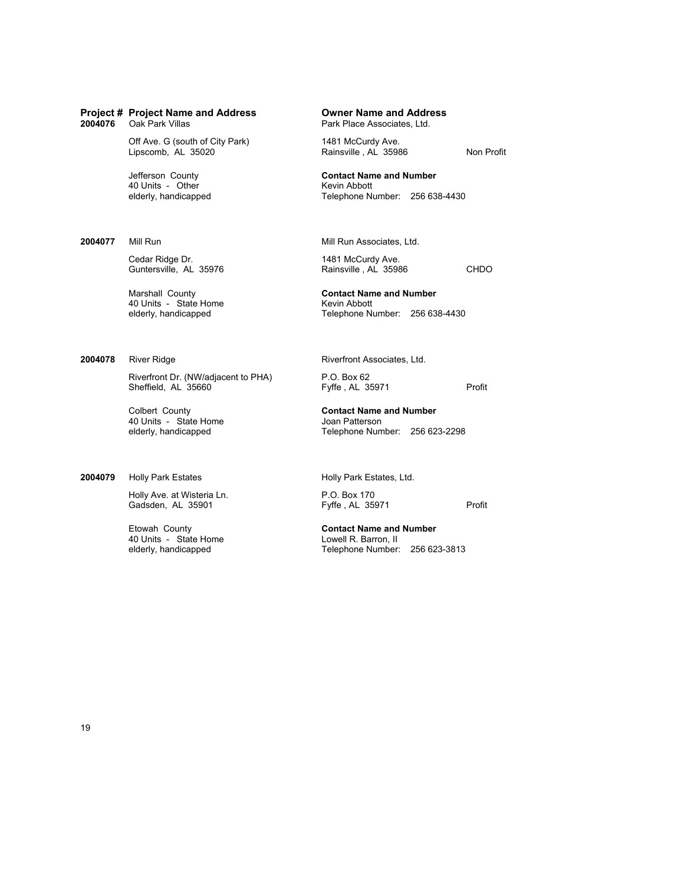2004076 Oak Park Villas

Off Ave. G (south of City Park) 1481 McCurdy Ave.<br>
Lipscomb, AL 35020 Rainsville, AL 3598

40 Units - Other<br>elderly, handicapped

Cedar Ridge Dr. 1481 McCurdy Ave.<br>
Guntersville, AL 35976 Rainsville, AL 35986

40 Units - State Home<br>elderly, handicapped

Riverfront Dr. (NW/adjacent to PHA) P.O. Box 62<br>Sheffield, AL 35660 Fyffe, AL 35971

Colbert County **Contact Name and Number** 40 Units - State Home Joan Patterson<br>
elderly, handicapped Telephone Num

### **2004079** Holly Park Estates **Holly Park Estates, Ltd.**

Holly Ave. at Wisteria Ln. P.O. Box 170

40 Units - State Home<br>elderly, handicapped

Rainsville , AL 35986 Non Profit

Jefferson County **Contact Name and Number** Telephone Number: 256 638-4430

**2004077** Mill Run Mill Run Associates, Ltd.

Guntersville, AL 35976 Rainsville, AL 35986 CHDO

Marshall County **Contact Name and Number** Telephone Number: 256 638-4430

**2004078** River Ridge **Rights** River Ridge Riversettes, Ltd.

Sheffield, AL 35660 Fyffe , AL 35971 Profit

Telephone Number: 256 623-2298

Gadsden, AL 35901 Fyffe , AL 35971 Profit

Etowah County **Contact Name and Number** Telephone Number: 256 623-3813